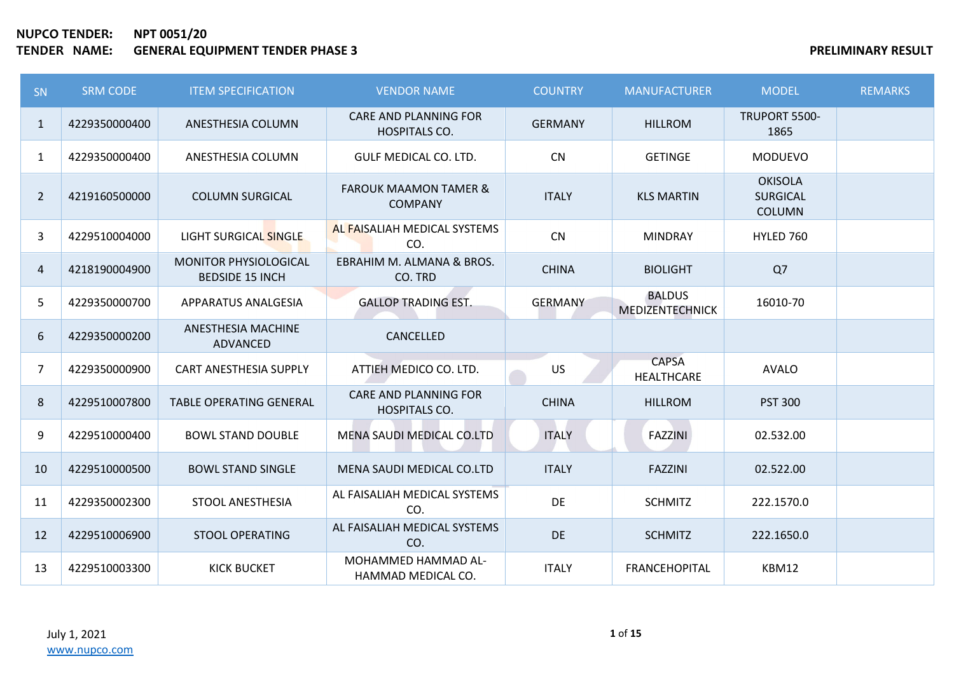| <b>SN</b>      | <b>SRM CODE</b> | <b>ITEM SPECIFICATION</b>                              | <b>VENDOR NAME</b>                                 | <b>COUNTRY</b> | <b>MANUFACTURER</b>                     | <b>MODEL</b>                                       | <b>REMARKS</b> |
|----------------|-----------------|--------------------------------------------------------|----------------------------------------------------|----------------|-----------------------------------------|----------------------------------------------------|----------------|
| $\mathbf{1}$   | 4229350000400   | ANESTHESIA COLUMN                                      | CARE AND PLANNING FOR<br><b>HOSPITALS CO.</b>      | <b>GERMANY</b> | <b>HILLROM</b>                          | TRUPORT 5500-<br>1865                              |                |
| $\mathbf{1}$   | 4229350000400   | ANESTHESIA COLUMN                                      | <b>GULF MEDICAL CO. LTD.</b>                       | <b>CN</b>      | <b>GETINGE</b>                          | <b>MODUEVO</b>                                     |                |
| $\overline{2}$ | 4219160500000   | <b>COLUMN SURGICAL</b>                                 | <b>FAROUK MAAMON TAMER &amp;</b><br><b>COMPANY</b> | <b>ITALY</b>   | <b>KLS MARTIN</b>                       | <b>OKISOLA</b><br><b>SURGICAL</b><br><b>COLUMN</b> |                |
| 3              | 4229510004000   | LIGHT SURGICAL SINGLE                                  | AL FAISALIAH MEDICAL SYSTEMS<br>CO.                | CN             | <b>MINDRAY</b>                          | HYLED 760                                          |                |
| 4              | 4218190004900   | <b>MONITOR PHYSIOLOGICAL</b><br><b>BEDSIDE 15 INCH</b> | EBRAHIM M. ALMANA & BROS.<br>CO. TRD               | <b>CHINA</b>   | <b>BIOLIGHT</b>                         | Q7                                                 |                |
| 5              | 4229350000700   | APPARATUS ANALGESIA                                    | <b>GALLOP TRADING EST.</b>                         | <b>GERMANY</b> | <b>BALDUS</b><br><b>MEDIZENTECHNICK</b> | 16010-70                                           |                |
| 6              | 4229350000200   | <b>ANESTHESIA MACHINE</b><br>ADVANCED                  | CANCELLED                                          |                |                                         |                                                    |                |
| 7              | 4229350000900   | CART ANESTHESIA SUPPLY                                 | ATTIEH MEDICO CO. LTD.                             | <b>US</b>      | <b>CAPSA</b><br>HEALTHCARE              | <b>AVALO</b>                                       |                |
| 8              | 4229510007800   | <b>TABLE OPERATING GENERAL</b>                         | <b>CARE AND PLANNING FOR</b><br>HOSPITALS CO.      | <b>CHINA</b>   | <b>HILLROM</b>                          | <b>PST 300</b>                                     |                |
| 9              | 4229510000400   | <b>BOWL STAND DOUBLE</b>                               | MENA SAUDI MEDICAL CO.LTD                          | <b>ITALY</b>   | <b>FAZZINI</b>                          | 02.532.00                                          |                |
| 10             | 4229510000500   | <b>BOWL STAND SINGLE</b>                               | MENA SAUDI MEDICAL CO.LTD                          | <b>ITALY</b>   | <b>FAZZINI</b>                          | 02.522.00                                          |                |
| 11             | 4229350002300   | STOOL ANESTHESIA                                       | AL FAISALIAH MEDICAL SYSTEMS<br>CO.                | DE             | <b>SCHMITZ</b>                          | 222.1570.0                                         |                |
| 12             | 4229510006900   | <b>STOOL OPERATING</b>                                 | AL FAISALIAH MEDICAL SYSTEMS<br>CO.                | DE             | <b>SCHMITZ</b>                          | 222.1650.0                                         |                |
| 13             | 4229510003300   | <b>KICK BUCKET</b>                                     | MOHAMMED HAMMAD AL-<br>HAMMAD MEDICAL CO.          | <b>ITALY</b>   | <b>FRANCEHOPITAL</b>                    | KBM12                                              |                |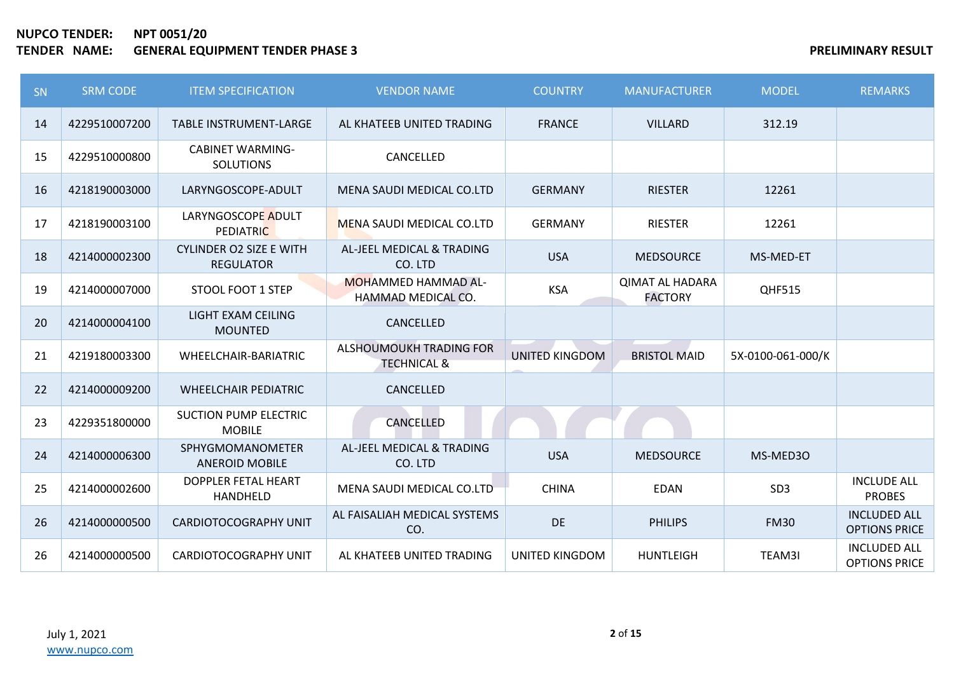| SN | <b>SRM CODE</b> | <b>ITEM SPECIFICATION</b>                          | <b>VENDOR NAME</b>                                | <b>COUNTRY</b>        | <b>MANUFACTURER</b>                      | <b>MODEL</b>      | <b>REMARKS</b>                              |
|----|-----------------|----------------------------------------------------|---------------------------------------------------|-----------------------|------------------------------------------|-------------------|---------------------------------------------|
| 14 | 4229510007200   | <b>TABLE INSTRUMENT-LARGE</b>                      | AL KHATEEB UNITED TRADING                         | <b>FRANCE</b>         | <b>VILLARD</b>                           | 312.19            |                                             |
| 15 | 4229510000800   | <b>CABINET WARMING-</b><br><b>SOLUTIONS</b>        | CANCELLED                                         |                       |                                          |                   |                                             |
| 16 | 4218190003000   | LARYNGOSCOPE-ADULT                                 | MENA SAUDI MEDICAL CO.LTD                         | <b>GERMANY</b>        | <b>RIESTER</b>                           | 12261             |                                             |
| 17 | 4218190003100   | LARYNGOSCOPE ADULT<br><b>PEDIATRIC</b>             | MENA SAUDI MEDICAL CO.LTD                         | <b>GERMANY</b>        | <b>RIESTER</b>                           | 12261             |                                             |
| 18 | 4214000002300   | <b>CYLINDER O2 SIZE E WITH</b><br><b>REGULATOR</b> | AL-JEEL MEDICAL & TRADING<br>CO. LTD              | <b>USA</b>            | <b>MEDSOURCE</b>                         | MS-MED-ET         |                                             |
| 19 | 4214000007000   | STOOL FOOT 1 STEP                                  | <b>MOHAMMED HAMMAD AL-</b><br>HAMMAD MEDICAL CO.  | <b>KSA</b>            | <b>QIMAT AL HADARA</b><br><b>FACTORY</b> | QHF515            |                                             |
| 20 | 4214000004100   | LIGHT EXAM CEILING<br><b>MOUNTED</b>               | CANCELLED                                         |                       |                                          |                   |                                             |
| 21 | 4219180003300   | WHEELCHAIR-BARIATRIC                               | ALSHOUMOUKH TRADING FOR<br><b>TECHNICAL &amp;</b> | <b>UNITED KINGDOM</b> | <b>BRISTOL MAID</b>                      | 5X-0100-061-000/K |                                             |
| 22 | 4214000009200   | <b>WHEELCHAIR PEDIATRIC</b>                        | CANCELLED                                         |                       |                                          |                   |                                             |
| 23 | 4229351800000   | <b>SUCTION PUMP ELECTRIC</b><br><b>MOBILE</b>      | <b>CANCELLED</b>                                  |                       |                                          |                   |                                             |
| 24 | 4214000006300   | <b>SPHYGMOMANOMETER</b><br><b>ANEROID MOBILE</b>   | AL-JEEL MEDICAL & TRADING<br>CO. LTD              | <b>USA</b>            | <b>MEDSOURCE</b>                         | MS-MED30          |                                             |
| 25 | 4214000002600   | DOPPLER FETAL HEART<br>HANDHELD                    | MENA SAUDI MEDICAL CO.LTD                         | <b>CHINA</b>          | <b>EDAN</b>                              | SD <sub>3</sub>   | <b>INCLUDE ALL</b><br><b>PROBES</b>         |
| 26 | 4214000000500   | <b>CARDIOTOCOGRAPHY UNIT</b>                       | AL FAISALIAH MEDICAL SYSTEMS<br>CO.               | DE                    | <b>PHILIPS</b>                           | <b>FM30</b>       | <b>INCLUDED ALL</b><br><b>OPTIONS PRICE</b> |
| 26 | 4214000000500   | CARDIOTOCOGRAPHY UNIT                              | AL KHATEEB UNITED TRADING                         | UNITED KINGDOM        | <b>HUNTLEIGH</b>                         | TEAM3I            | <b>INCLUDED ALL</b><br><b>OPTIONS PRICE</b> |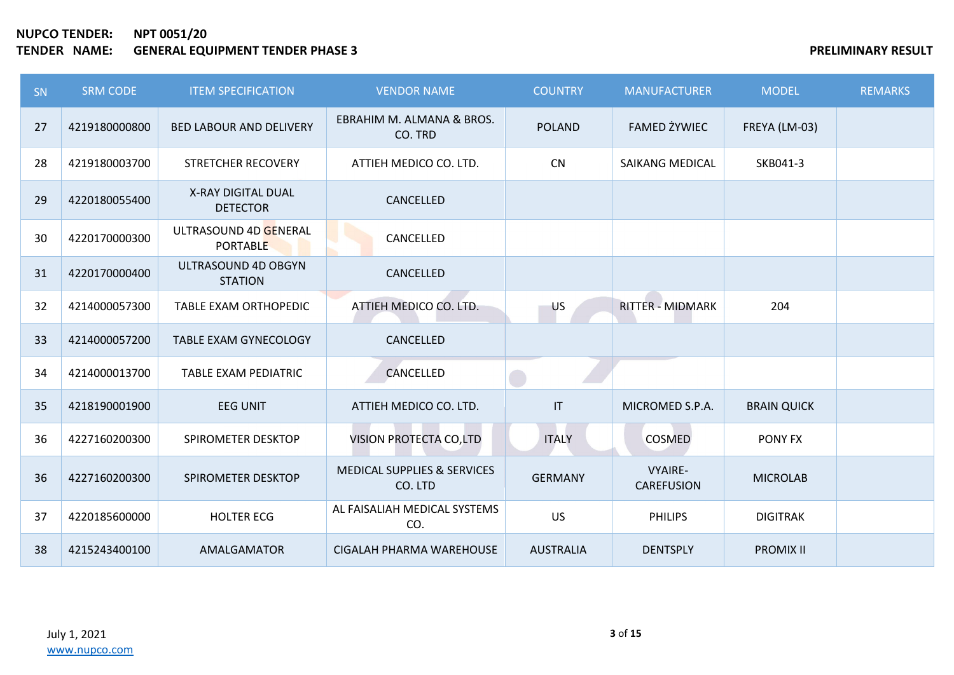| <b>SN</b> | <b>SRM CODE</b> | <b>ITEM SPECIFICATION</b>                | <b>VENDOR NAME</b>                                | <b>COUNTRY</b>                    | <b>MANUFACTURER</b>                 | <b>MODEL</b>       | <b>REMARKS</b> |
|-----------|-----------------|------------------------------------------|---------------------------------------------------|-----------------------------------|-------------------------------------|--------------------|----------------|
| 27        | 4219180000800   | <b>BED LABOUR AND DELIVERY</b>           | EBRAHIM M. ALMANA & BROS.<br>CO. TRD              | <b>POLAND</b>                     | <b>FAMED ŻYWIEC</b>                 | FREYA (LM-03)      |                |
| 28        | 4219180003700   | STRETCHER RECOVERY                       | ATTIEH MEDICO CO. LTD.                            | CN                                | <b>SAIKANG MEDICAL</b>              | SKB041-3           |                |
| 29        | 4220180055400   | X-RAY DIGITAL DUAL<br><b>DETECTOR</b>    | CANCELLED                                         |                                   |                                     |                    |                |
| 30        | 4220170000300   | ULTRASOUND 4D GENERAL<br><b>PORTABLE</b> | CANCELLED                                         |                                   |                                     |                    |                |
| 31        | 4220170000400   | ULTRASOUND 4D OBGYN<br><b>STATION</b>    | CANCELLED                                         |                                   |                                     |                    |                |
| 32        | 4214000057300   | <b>TABLE EXAM ORTHOPEDIC</b>             | ATTIEH MEDICO CO. LTD.                            | <b>US</b>                         | <b>RITTER - MIDMARK</b>             | 204                |                |
| 33        | 4214000057200   | <b>TABLE EXAM GYNECOLOGY</b>             | CANCELLED                                         |                                   |                                     |                    |                |
| 34        | 4214000013700   | TABLE EXAM PEDIATRIC                     | CANCELLED                                         |                                   |                                     |                    |                |
| 35        | 4218190001900   | <b>EEG UNIT</b>                          | ATTIEH MEDICO CO. LTD.                            | $\ensuremath{\mathsf{IT}}\xspace$ | MICROMED S.P.A.                     | <b>BRAIN QUICK</b> |                |
| 36        | 4227160200300   | SPIROMETER DESKTOP                       | VISION PROTECTA CO,LTD                            | <b>ITALY</b>                      | COSMED                              | PONY FX            |                |
| 36        | 4227160200300   | SPIROMETER DESKTOP                       | <b>MEDICAL SUPPLIES &amp; SERVICES</b><br>CO. LTD | <b>GERMANY</b>                    | <b>VYAIRE-</b><br><b>CAREFUSION</b> | <b>MICROLAB</b>    |                |
| 37        | 4220185600000   | <b>HOLTER ECG</b>                        | AL FAISALIAH MEDICAL SYSTEMS<br>CO.               | <b>US</b>                         | <b>PHILIPS</b>                      | <b>DIGITRAK</b>    |                |
| 38        | 4215243400100   | AMALGAMATOR                              | CIGALAH PHARMA WAREHOUSE                          | <b>AUSTRALIA</b>                  | <b>DENTSPLY</b>                     | <b>PROMIX II</b>   |                |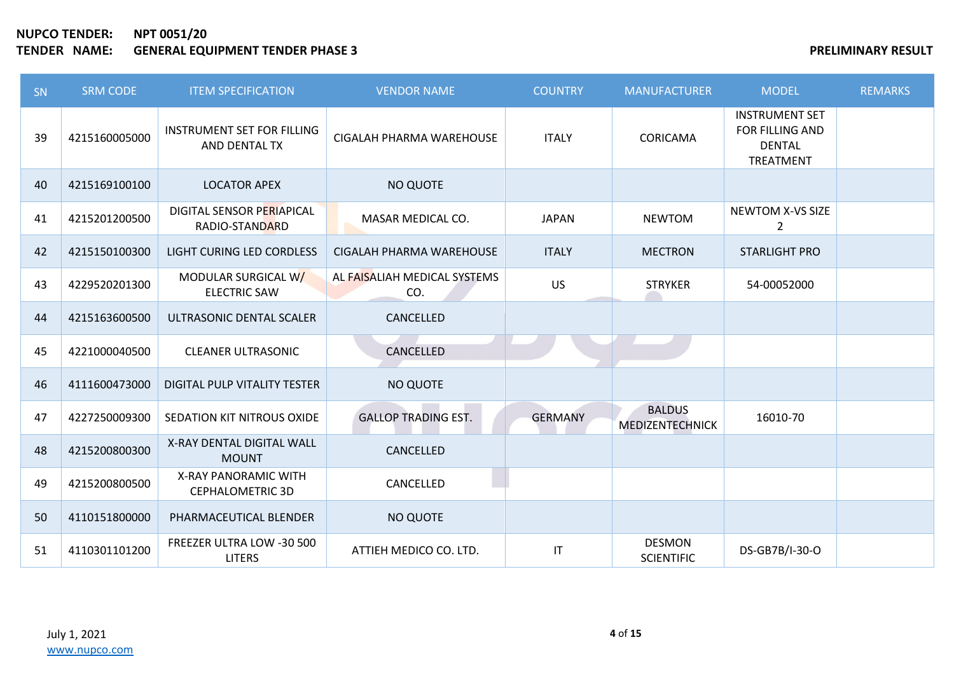| SN | <b>SRM CODE</b> | <b>ITEM SPECIFICATION</b>                          | <b>VENDOR NAME</b>                  | <b>COUNTRY</b> | <b>MANUFACTURER</b>                | <b>MODEL</b>                                                           | <b>REMARKS</b> |
|----|-----------------|----------------------------------------------------|-------------------------------------|----------------|------------------------------------|------------------------------------------------------------------------|----------------|
| 39 | 4215160005000   | <b>INSTRUMENT SET FOR FILLING</b><br>AND DENTAL TX | CIGALAH PHARMA WAREHOUSE            | <b>ITALY</b>   | CORICAMA                           | <b>INSTRUMENT SET</b><br>FOR FILLING AND<br><b>DENTAL</b><br>TREATMENT |                |
| 40 | 4215169100100   | <b>LOCATOR APEX</b>                                | <b>NO QUOTE</b>                     |                |                                    |                                                                        |                |
| 41 | 4215201200500   | DIGITAL SENSOR PERIAPICAL<br>RADIO-STANDARD        | MASAR MEDICAL CO.                   | <b>JAPAN</b>   | <b>NEWTOM</b>                      | <b>NEWTOM X-VS SIZE</b><br>$\overline{2}$                              |                |
| 42 | 4215150100300   | LIGHT CURING LED CORDLESS                          | CIGALAH PHARMA WAREHOUSE            | <b>ITALY</b>   | <b>MECTRON</b>                     | <b>STARLIGHT PRO</b>                                                   |                |
| 43 | 4229520201300   | MODULAR SURGICAL W/<br><b>ELECTRIC SAW</b>         | AL FAISALIAH MEDICAL SYSTEMS<br>CO. | <b>US</b>      | <b>STRYKER</b>                     | 54-00052000                                                            |                |
| 44 | 4215163600500   | ULTRASONIC DENTAL SCALER                           | CANCELLED                           |                |                                    |                                                                        |                |
| 45 | 4221000040500   | <b>CLEANER ULTRASONIC</b>                          | CANCELLED                           |                |                                    |                                                                        |                |
| 46 | 4111600473000   | DIGITAL PULP VITALITY TESTER                       | <b>NO QUOTE</b>                     |                |                                    |                                                                        |                |
| 47 | 4227250009300   | SEDATION KIT NITROUS OXIDE                         | <b>GALLOP TRADING EST.</b>          | <b>GERMANY</b> | <b>BALDUS</b><br>MEDIZENTECHNICK   | 16010-70                                                               |                |
| 48 | 4215200800300   | X-RAY DENTAL DIGITAL WALL<br><b>MOUNT</b>          | CANCELLED                           |                |                                    |                                                                        |                |
| 49 | 4215200800500   | X-RAY PANORAMIC WITH<br><b>CEPHALOMETRIC 3D</b>    | CANCELLED                           |                |                                    |                                                                        |                |
| 50 | 4110151800000   | PHARMACEUTICAL BLENDER                             | <b>NO QUOTE</b>                     |                |                                    |                                                                        |                |
| 51 | 4110301101200   | FREEZER ULTRA LOW -30 500<br><b>LITERS</b>         | ATTIEH MEDICO CO. LTD.              | IT             | <b>DESMON</b><br><b>SCIENTIFIC</b> | DS-GB7B/I-30-O                                                         |                |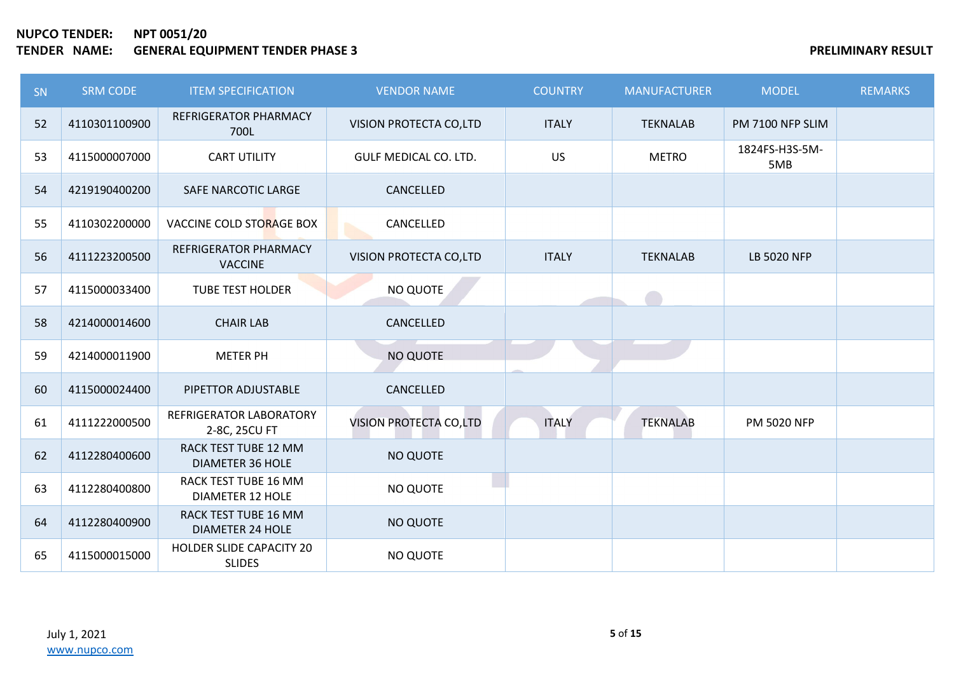| SN | <b>SRM CODE</b> | <b>ITEM SPECIFICATION</b>                              | <b>VENDOR NAME</b>     | <b>COUNTRY</b> | <b>MANUFACTURER</b> | <b>MODEL</b>          | <b>REMARKS</b> |
|----|-----------------|--------------------------------------------------------|------------------------|----------------|---------------------|-----------------------|----------------|
| 52 | 4110301100900   | <b>REFRIGERATOR PHARMACY</b><br>700L                   | VISION PROTECTA CO,LTD | <b>ITALY</b>   | <b>TEKNALAB</b>     | PM 7100 NFP SLIM      |                |
| 53 | 4115000007000   | <b>CART UTILITY</b>                                    | GULF MEDICAL CO. LTD.  | <b>US</b>      | <b>METRO</b>        | 1824FS-H3S-5M-<br>5MB |                |
| 54 | 4219190400200   | SAFE NARCOTIC LARGE                                    | CANCELLED              |                |                     |                       |                |
| 55 | 4110302200000   | VACCINE COLD STORAGE BOX                               | CANCELLED              |                |                     |                       |                |
| 56 | 4111223200500   | <b>REFRIGERATOR PHARMACY</b><br><b>VACCINE</b>         | VISION PROTECTA CO,LTD | <b>ITALY</b>   | <b>TEKNALAB</b>     | <b>LB 5020 NFP</b>    |                |
| 57 | 4115000033400   | <b>TUBE TEST HOLDER</b>                                | NO QUOTE               |                |                     |                       |                |
| 58 | 4214000014600   | <b>CHAIR LAB</b>                                       | CANCELLED              |                |                     |                       |                |
| 59 | 4214000011900   | <b>METER PH</b>                                        | NO QUOTE               |                |                     |                       |                |
| 60 | 4115000024400   | PIPETTOR ADJUSTABLE                                    | CANCELLED              |                |                     |                       |                |
| 61 | 4111222000500   | REFRIGERATOR LABORATORY<br>2-8C, 25CU FT               | VISION PROTECTA CO,LTD | <b>ITALY</b>   | <b>TEKNALAB</b>     | <b>PM 5020 NFP</b>    |                |
| 62 | 4112280400600   | <b>RACK TEST TUBE 12 MM</b><br><b>DIAMETER 36 HOLE</b> | <b>NO QUOTE</b>        |                |                     |                       |                |
| 63 | 4112280400800   | RACK TEST TUBE 16 MM<br><b>DIAMETER 12 HOLE</b>        | <b>NO QUOTE</b>        |                |                     |                       |                |
| 64 | 4112280400900   | RACK TEST TUBE 16 MM<br><b>DIAMETER 24 HOLE</b>        | <b>NO QUOTE</b>        |                |                     |                       |                |
| 65 | 4115000015000   | HOLDER SLIDE CAPACITY 20<br><b>SLIDES</b>              | <b>NO QUOTE</b>        |                |                     |                       |                |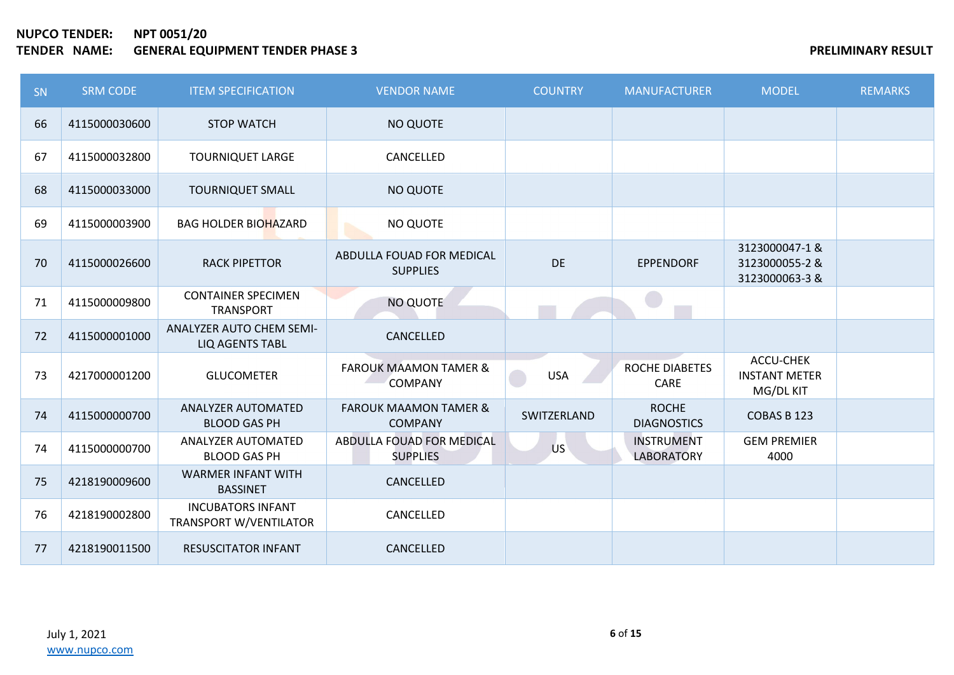## **NUPCO TENDER: NPT 0051/20 THE SERVICE SERVIFUS ASSESSED ASSESSED ASSESSED ASSESSED ASSESSED ASSESSED AND RESULT AND RESULT**

| SN | <b>SRM CODE</b> | <b>ITEM SPECIFICATION</b>                          | <b>VENDOR NAME</b>                                 | <b>COUNTRY</b> | <b>MANUFACTURER</b>                    | <b>MODEL</b>                                     | <b>REMARKS</b> |
|----|-----------------|----------------------------------------------------|----------------------------------------------------|----------------|----------------------------------------|--------------------------------------------------|----------------|
| 66 | 4115000030600   | <b>STOP WATCH</b>                                  | NO QUOTE                                           |                |                                        |                                                  |                |
| 67 | 4115000032800   | <b>TOURNIQUET LARGE</b>                            | CANCELLED                                          |                |                                        |                                                  |                |
| 68 | 4115000033000   | <b>TOURNIQUET SMALL</b>                            | NO QUOTE                                           |                |                                        |                                                  |                |
| 69 | 4115000003900   | <b>BAG HOLDER BIOHAZARD</b>                        | NO QUOTE                                           |                |                                        |                                                  |                |
| 70 | 4115000026600   | <b>RACK PIPETTOR</b>                               | ABDULLA FOUAD FOR MEDICAL<br><b>SUPPLIES</b>       | <b>DE</b>      | <b>EPPENDORF</b>                       | 3123000047-1&<br>3123000055-2 &<br>3123000063-3& |                |
| 71 | 4115000009800   | <b>CONTAINER SPECIMEN</b><br><b>TRANSPORT</b>      | NO QUOTE                                           |                | e i                                    |                                                  |                |
| 72 | 4115000001000   | ANALYZER AUTO CHEM SEMI-<br><b>LIQ AGENTS TABL</b> | CANCELLED                                          |                |                                        |                                                  |                |
| 73 | 4217000001200   | <b>GLUCOMETER</b>                                  | <b>FAROUK MAAMON TAMER &amp;</b><br><b>COMPANY</b> | <b>USA</b>     | ROCHE DIABETES<br>CARE                 | ACCU-CHEK<br><b>INSTANT METER</b><br>MG/DL KIT   |                |
| 74 | 4115000000700   | ANALYZER AUTOMATED<br><b>BLOOD GAS PH</b>          | <b>FAROUK MAAMON TAMER &amp;</b><br><b>COMPANY</b> | SWITZERLAND    | <b>ROCHE</b><br><b>DIAGNOSTICS</b>     | COBAS B 123                                      |                |
| 74 | 4115000000700   | ANALYZER AUTOMATED<br><b>BLOOD GAS PH</b>          | ABDULLA FOUAD FOR MEDICAL<br><b>SUPPLIES</b>       | US             | <b>INSTRUMENT</b><br><b>LABORATORY</b> | <b>GEM PREMIER</b><br>4000                       |                |
| 75 | 4218190009600   | <b>WARMER INFANT WITH</b><br><b>BASSINET</b>       | CANCELLED                                          |                |                                        |                                                  |                |
| 76 | 4218190002800   | <b>INCUBATORS INFANT</b><br>TRANSPORT W/VENTILATOR | CANCELLED                                          |                |                                        |                                                  |                |
| 77 | 4218190011500   | <b>RESUSCITATOR INFANT</b>                         | CANCELLED                                          |                |                                        |                                                  |                |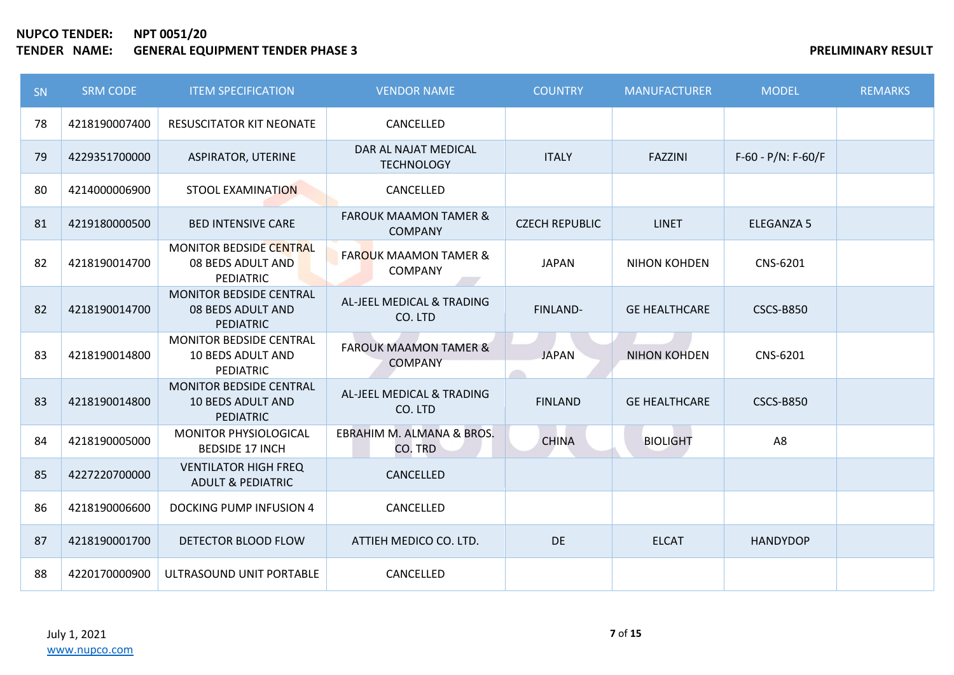| <b>SN</b> | <b>SRM CODE</b> | <b>ITEM SPECIFICATION</b>                                               | <b>VENDOR NAME</b>                                 | <b>COUNTRY</b>        | <b>MANUFACTURER</b>  | <b>MODEL</b>          | <b>REMARKS</b> |
|-----------|-----------------|-------------------------------------------------------------------------|----------------------------------------------------|-----------------------|----------------------|-----------------------|----------------|
| 78        | 4218190007400   | <b>RESUSCITATOR KIT NEONATE</b>                                         | CANCELLED                                          |                       |                      |                       |                |
| 79        | 4229351700000   | <b>ASPIRATOR, UTERINE</b>                                               | DAR AL NAJAT MEDICAL<br><b>TECHNOLOGY</b>          | <b>ITALY</b>          | <b>FAZZINI</b>       | $F-60 - P/N$ : F-60/F |                |
| 80        | 4214000006900   | <b>STOOL EXAMINATION</b>                                                | CANCELLED                                          |                       |                      |                       |                |
| 81        | 4219180000500   | <b>BED INTENSIVE CARE</b>                                               | <b>FAROUK MAAMON TAMER &amp;</b><br><b>COMPANY</b> | <b>CZECH REPUBLIC</b> | <b>LINET</b>         | <b>ELEGANZA 5</b>     |                |
| 82        | 4218190014700   | MONITOR BEDSIDE CENTRAL<br>08 BEDS ADULT AND<br><b>PEDIATRIC</b>        | <b>FAROUK MAAMON TAMER &amp;</b><br><b>COMPANY</b> | <b>JAPAN</b>          | <b>NIHON KOHDEN</b>  | CNS-6201              |                |
| 82        | 4218190014700   | <b>MONITOR BEDSIDE CENTRAL</b><br>08 BEDS ADULT AND<br><b>PEDIATRIC</b> | AL-JEEL MEDICAL & TRADING<br>CO. LTD               | FINLAND-              | <b>GE HEALTHCARE</b> | <b>CSCS-B850</b>      |                |
| 83        | 4218190014800   | MONITOR BEDSIDE CENTRAL<br><b>10 BEDS ADULT AND</b><br>PEDIATRIC        | <b>FAROUK MAAMON TAMER &amp;</b><br><b>COMPANY</b> | <b>JAPAN</b>          | <b>NIHON KOHDEN</b>  | CNS-6201              |                |
| 83        | 4218190014800   | MONITOR BEDSIDE CENTRAL<br><b>10 BEDS ADULT AND</b><br><b>PEDIATRIC</b> | AL-JEEL MEDICAL & TRADING<br>CO. LTD               | <b>FINLAND</b>        | <b>GE HEALTHCARE</b> | <b>CSCS-B850</b>      |                |
| 84        | 4218190005000   | <b>MONITOR PHYSIOLOGICAL</b><br><b>BEDSIDE 17 INCH</b>                  | EBRAHIM M. ALMANA & BROS.<br>CO. TRD               | <b>CHINA</b>          | <b>BIOLIGHT</b>      | A <sub>8</sub>        |                |
| 85        | 4227220700000   | <b>VENTILATOR HIGH FREQ</b><br><b>ADULT &amp; PEDIATRIC</b>             | CANCELLED                                          |                       |                      |                       |                |
| 86        | 4218190006600   | <b>DOCKING PUMP INFUSION 4</b>                                          | CANCELLED                                          |                       |                      |                       |                |
| 87        | 4218190001700   | DETECTOR BLOOD FLOW                                                     | ATTIEH MEDICO CO. LTD.                             | DE                    | <b>ELCAT</b>         | <b>HANDYDOP</b>       |                |
| 88        | 4220170000900   | ULTRASOUND UNIT PORTABLE                                                | CANCELLED                                          |                       |                      |                       |                |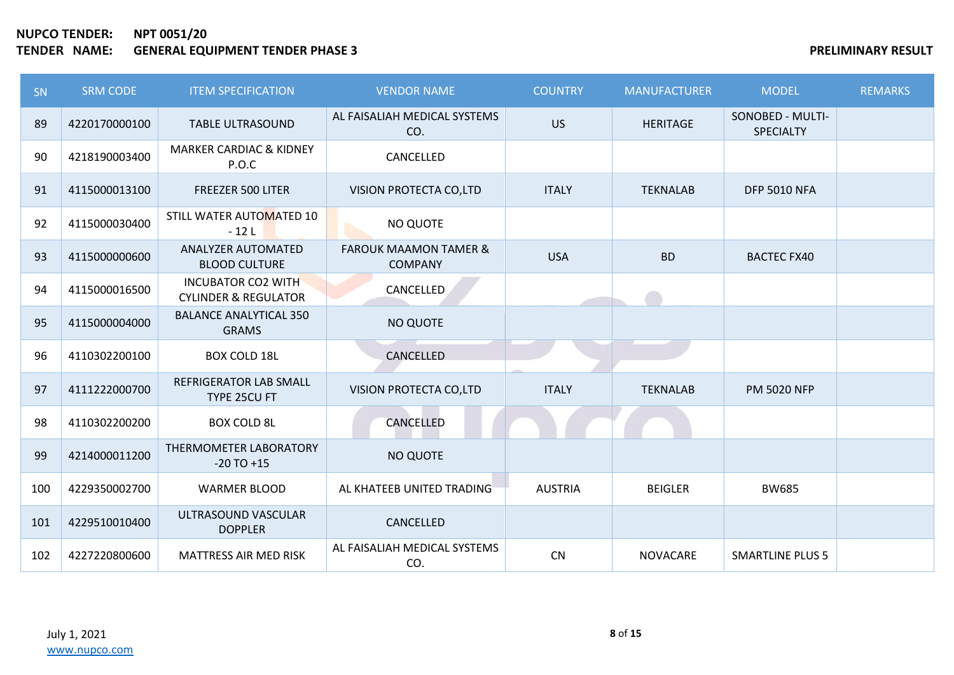| <b>SN</b> | <b>SRM CODE</b> | <b>ITEM SPECIFICATION</b>                                    | <b>VENDOR NAME</b>                                 | <b>COUNTRY</b> | <b>MANUFACTURER</b> | <b>MODEL</b>                         | <b>REMARKS</b> |
|-----------|-----------------|--------------------------------------------------------------|----------------------------------------------------|----------------|---------------------|--------------------------------------|----------------|
| 89        | 4220170000100   | <b>TABLE ULTRASOUND</b>                                      | AL FAISALIAH MEDICAL SYSTEMS<br>CO.                | <b>US</b>      | <b>HERITAGE</b>     | SONOBED - MULTI-<br><b>SPECIALTY</b> |                |
| 90        | 4218190003400   | <b>MARKER CARDIAC &amp; KIDNEY</b><br>P.O.C                  | CANCELLED                                          |                |                     |                                      |                |
| 91        | 4115000013100   | FREEZER 500 LITER                                            | VISION PROTECTA CO,LTD                             | <b>ITALY</b>   | <b>TEKNALAB</b>     | <b>DFP 5010 NFA</b>                  |                |
| 92        | 4115000030400   | STILL WATER AUTOMATED 10<br>$-12L$                           | NO QUOTE                                           |                |                     |                                      |                |
| 93        | 4115000000600   | ANALYZER AUTOMATED<br><b>BLOOD CULTURE</b>                   | <b>FAROUK MAAMON TAMER &amp;</b><br><b>COMPANY</b> | <b>USA</b>     | <b>BD</b>           | <b>BACTEC FX40</b>                   |                |
| 94        | 4115000016500   | <b>INCUBATOR CO2 WITH</b><br><b>CYLINDER &amp; REGULATOR</b> | CANCELLED                                          |                |                     |                                      |                |
| 95        | 4115000004000   | <b>BALANCE ANALYTICAL 350</b><br><b>GRAMS</b>                | <b>NO QUOTE</b>                                    |                |                     |                                      |                |
| 96        | 4110302200100   | <b>BOX COLD 18L</b>                                          | CANCELLED                                          |                |                     |                                      |                |
| 97        | 4111222000700   | <b>REFRIGERATOR LAB SMALL</b><br>TYPE 25CU FT                | VISION PROTECTA CO,LTD                             | <b>ITALY</b>   | <b>TEKNALAB</b>     | <b>PM 5020 NFP</b>                   |                |
| 98        | 4110302200200   | <b>BOX COLD 8L</b>                                           | CANCELLED                                          |                |                     |                                      |                |
| 99        | 4214000011200   | THERMOMETER LABORATORY<br>$-20$ TO $+15$                     | <b>NO QUOTE</b>                                    |                |                     |                                      |                |
| 100       | 4229350002700   | <b>WARMER BLOOD</b>                                          | AL KHATEEB UNITED TRADING                          | <b>AUSTRIA</b> | <b>BEIGLER</b>      | <b>BW685</b>                         |                |
| 101       | 4229510010400   | ULTRASOUND VASCULAR<br><b>DOPPLER</b>                        | CANCELLED                                          |                |                     |                                      |                |
| 102       | 4227220800600   | <b>MATTRESS AIR MED RISK</b>                                 | AL FAISALIAH MEDICAL SYSTEMS<br>CO.                | <b>CN</b>      | <b>NOVACARE</b>     | <b>SMARTLINE PLUS 5</b>              |                |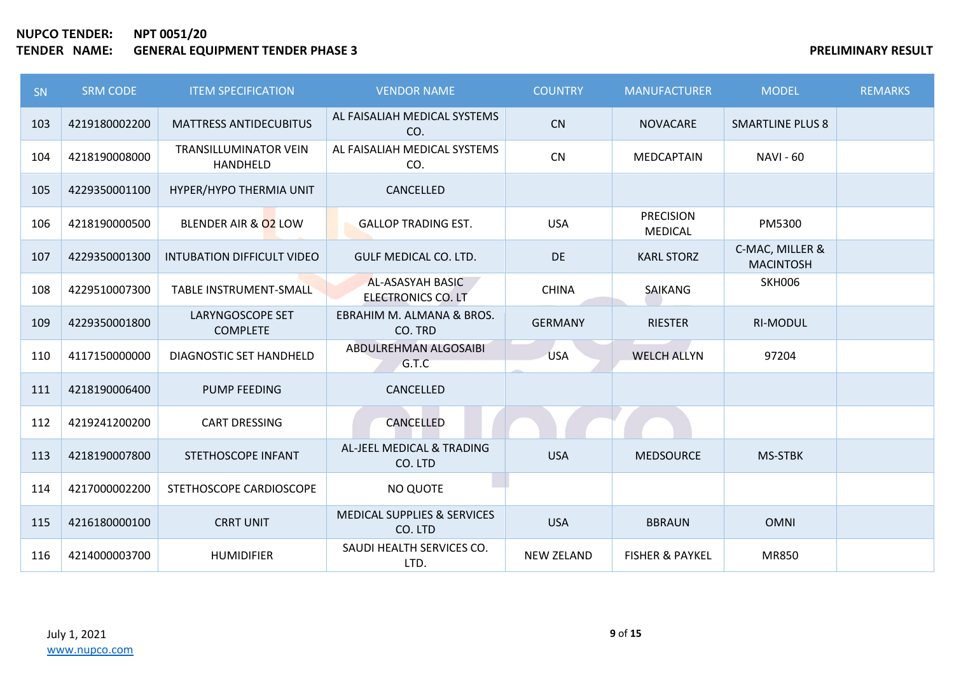| SN  | <b>SRM CODE</b> | <b>ITEM SPECIFICATION</b>                | <b>VENDOR NAME</b>                            | <b>COUNTRY</b>    | <b>MANUFACTURER</b>                | <b>MODEL</b>                        | <b>REMARKS</b> |
|-----|-----------------|------------------------------------------|-----------------------------------------------|-------------------|------------------------------------|-------------------------------------|----------------|
| 103 | 4219180002200   | <b>MATTRESS ANTIDECUBITUS</b>            | AL FAISALIAH MEDICAL SYSTEMS<br>CO.           | CN                | <b>NOVACARE</b>                    | <b>SMARTLINE PLUS 8</b>             |                |
| 104 | 4218190008000   | <b>TRANSILLUMINATOR VEIN</b><br>HANDHELD | AL FAISALIAH MEDICAL SYSTEMS<br>CO.           | <b>CN</b>         | MEDCAPTAIN                         | <b>NAVI - 60</b>                    |                |
| 105 | 4229350001100   | HYPER/HYPO THERMIA UNIT                  | CANCELLED                                     |                   |                                    |                                     |                |
| 106 | 4218190000500   | BLENDER AIR & 02 LOW                     | <b>GALLOP TRADING EST.</b>                    | <b>USA</b>        | <b>PRECISION</b><br><b>MEDICAL</b> | PM5300                              |                |
| 107 | 4229350001300   | INTUBATION DIFFICULT VIDEO               | GULF MEDICAL CO. LTD.                         | DE                | <b>KARL STORZ</b>                  | C-MAC, MILLER &<br><b>MACINTOSH</b> |                |
| 108 | 4229510007300   | <b>TABLE INSTRUMENT-SMALL</b>            | AL-ASASYAH BASIC<br><b>ELECTRONICS CO. LT</b> | <b>CHINA</b>      | SAIKANG                            | <b>SKH006</b>                       |                |
| 109 | 4229350001800   | LARYNGOSCOPE SET<br><b>COMPLETE</b>      | EBRAHIM M. ALMANA & BROS.<br>CO. TRD          | <b>GERMANY</b>    | <b>RIESTER</b>                     | <b>RI-MODUL</b>                     |                |
| 110 | 4117150000000   | DIAGNOSTIC SET HANDHELD                  | ABDULREHMAN ALGOSAIBI<br>G.T.C                | <b>USA</b>        | <b>WELCH ALLYN</b>                 | 97204                               |                |
| 111 | 4218190006400   | <b>PUMP FEEDING</b>                      | CANCELLED                                     |                   |                                    |                                     |                |
| 112 | 4219241200200   | <b>CART DRESSING</b>                     | CANCELLED                                     |                   |                                    |                                     |                |
| 113 | 4218190007800   | STETHOSCOPE INFANT                       | AL-JEEL MEDICAL & TRADING<br>CO. LTD          | <b>USA</b>        | <b>MEDSOURCE</b>                   | MS-STBK                             |                |
| 114 | 4217000002200   | STETHOSCOPE CARDIOSCOPE                  | NO QUOTE                                      |                   |                                    |                                     |                |
| 115 | 4216180000100   | <b>CRRT UNIT</b>                         | MEDICAL SUPPLIES & SERVICES<br>CO. LTD        | <b>USA</b>        | <b>BBRAUN</b>                      | <b>OMNI</b>                         |                |
| 116 | 4214000003700   | <b>HUMIDIFIER</b>                        | SAUDI HEALTH SERVICES CO.<br>LTD.             | <b>NEW ZELAND</b> | <b>FISHER &amp; PAYKEL</b>         | <b>MR850</b>                        |                |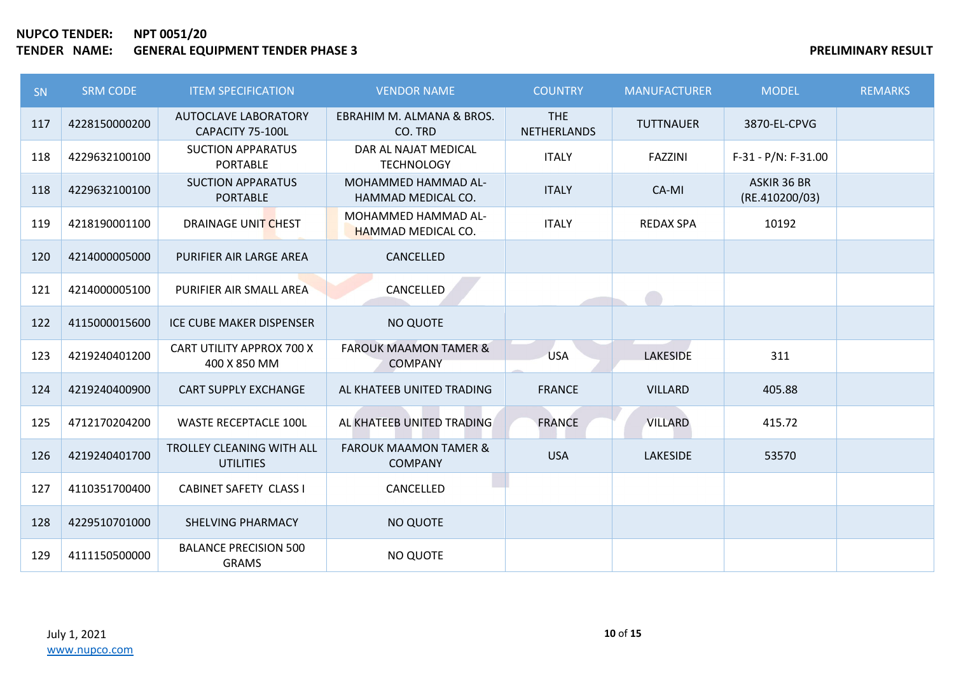| <b>SN</b> | <b>SRM CODE</b> | <b>ITEM SPECIFICATION</b>                       | <b>VENDOR NAME</b>                                 | <b>COUNTRY</b>                   | <b>MANUFACTURER</b> | <b>MODEL</b>                  | <b>REMARKS</b> |
|-----------|-----------------|-------------------------------------------------|----------------------------------------------------|----------------------------------|---------------------|-------------------------------|----------------|
| 117       | 4228150000200   | <b>AUTOCLAVE LABORATORY</b><br>CAPACITY 75-100L | EBRAHIM M. ALMANA & BROS.<br>CO. TRD               | <b>THE</b><br><b>NETHERLANDS</b> | <b>TUTTNAUER</b>    | 3870-EL-CPVG                  |                |
| 118       | 4229632100100   | <b>SUCTION APPARATUS</b><br><b>PORTABLE</b>     | DAR AL NAJAT MEDICAL<br><b>TECHNOLOGY</b>          | <b>ITALY</b>                     | <b>FAZZINI</b>      | $F-31 - P/N$ : $F-31.00$      |                |
| 118       | 4229632100100   | <b>SUCTION APPARATUS</b><br><b>PORTABLE</b>     | MOHAMMED HAMMAD AL-<br>HAMMAD MEDICAL CO.          | <b>ITALY</b>                     | CA-MI               | ASKIR 36 BR<br>(RE.410200/03) |                |
| 119       | 4218190001100   | DRAINAGE UNIT CHEST                             | MOHAMMED HAMMAD AL-<br><b>HAMMAD MEDICAL CO.</b>   | <b>ITALY</b>                     | <b>REDAX SPA</b>    | 10192                         |                |
| 120       | 4214000005000   | PURIFIER AIR LARGE AREA                         | CANCELLED                                          |                                  |                     |                               |                |
| 121       | 4214000005100   | PURIFIER AIR SMALL AREA                         | CANCELLED                                          |                                  |                     |                               |                |
| 122       | 4115000015600   | ICE CUBE MAKER DISPENSER                        | <b>NO QUOTE</b>                                    |                                  |                     |                               |                |
| 123       | 4219240401200   | CART UTILITY APPROX 700 X<br>400 X 850 MM       | <b>FAROUK MAAMON TAMER &amp;</b><br><b>COMPANY</b> | <b>USA</b>                       | <b>LAKESIDE</b>     | 311                           |                |
| 124       | 4219240400900   | <b>CART SUPPLY EXCHANGE</b>                     | AL KHATEEB UNITED TRADING                          | <b>FRANCE</b>                    | <b>VILLARD</b>      | 405.88                        |                |
| 125       | 4712170204200   | <b>WASTE RECEPTACLE 100L</b>                    | AL KHATEEB UNITED TRADING                          | <b>FRANCE</b>                    | <b>VILLARD</b>      | 415.72                        |                |
| 126       | 4219240401700   | TROLLEY CLEANING WITH ALL<br><b>UTILITIES</b>   | <b>FAROUK MAAMON TAMER &amp;</b><br><b>COMPANY</b> | <b>USA</b>                       | <b>LAKESIDE</b>     | 53570                         |                |
| 127       | 4110351700400   | <b>CABINET SAFETY CLASS I</b>                   | CANCELLED                                          |                                  |                     |                               |                |
| 128       | 4229510701000   | SHELVING PHARMACY                               | <b>NO QUOTE</b>                                    |                                  |                     |                               |                |
| 129       | 4111150500000   | <b>BALANCE PRECISION 500</b><br><b>GRAMS</b>    | <b>NO QUOTE</b>                                    |                                  |                     |                               |                |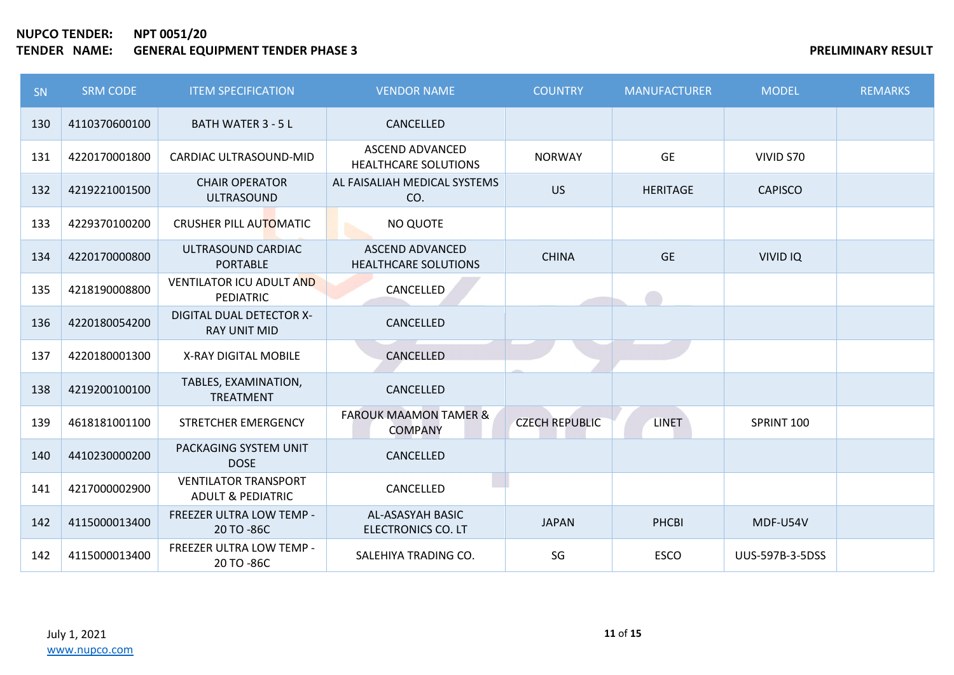| <b>SN</b> | <b>SRM CODE</b> | <b>ITEM SPECIFICATION</b>                                   | <b>VENDOR NAME</b>                                    | <b>COUNTRY</b>        | <b>MANUFACTURER</b> | <b>MODEL</b>    | <b>REMARKS</b> |
|-----------|-----------------|-------------------------------------------------------------|-------------------------------------------------------|-----------------------|---------------------|-----------------|----------------|
| 130       | 4110370600100   | <b>BATH WATER 3 - 5 L</b>                                   | CANCELLED                                             |                       |                     |                 |                |
| 131       | 4220170001800   | CARDIAC ULTRASOUND-MID                                      | <b>ASCEND ADVANCED</b><br><b>HEALTHCARE SOLUTIONS</b> | <b>NORWAY</b>         | <b>GE</b>           | VIVID S70       |                |
| 132       | 4219221001500   | <b>CHAIR OPERATOR</b><br><b>ULTRASOUND</b>                  | AL FAISALIAH MEDICAL SYSTEMS<br>CO.                   | <b>US</b>             | <b>HERITAGE</b>     | <b>CAPISCO</b>  |                |
| 133       | 4229370100200   | CRUSHER PILL AUTOMATIC                                      | NO QUOTE                                              |                       |                     |                 |                |
| 134       | 4220170000800   | ULTRASOUND CARDIAC<br><b>PORTABLE</b>                       | <b>ASCEND ADVANCED</b><br><b>HEALTHCARE SOLUTIONS</b> | <b>CHINA</b>          | <b>GE</b>           | <b>VIVID IQ</b> |                |
| 135       | 4218190008800   | <b>VENTILATOR ICU ADULT AND</b><br><b>PEDIATRIC</b>         | CANCELLED                                             |                       |                     |                 |                |
| 136       | 4220180054200   | <b>DIGITAL DUAL DETECTOR X-</b><br><b>RAY UNIT MID</b>      | CANCELLED                                             |                       |                     |                 |                |
| 137       | 4220180001300   | X-RAY DIGITAL MOBILE                                        | CANCELLED                                             |                       |                     |                 |                |
| 138       | 4219200100100   | TABLES, EXAMINATION,<br><b>TREATMENT</b>                    | CANCELLED                                             |                       |                     |                 |                |
| 139       | 4618181001100   | STRETCHER EMERGENCY                                         | <b>FAROUK MAAMON TAMER &amp;</b><br><b>COMPANY</b>    | <b>CZECH REPUBLIC</b> | <b>LINET</b>        | SPRINT 100      |                |
| 140       | 4410230000200   | PACKAGING SYSTEM UNIT<br><b>DOSE</b>                        | CANCELLED                                             |                       |                     |                 |                |
| 141       | 4217000002900   | <b>VENTILATOR TRANSPORT</b><br><b>ADULT &amp; PEDIATRIC</b> | CANCELLED                                             |                       |                     |                 |                |
| 142       | 4115000013400   | FREEZER ULTRA LOW TEMP -<br>20 TO -86C                      | AL-ASASYAH BASIC<br>ELECTRONICS CO. LT                | <b>JAPAN</b>          | PHCBI               | MDF-U54V        |                |
| 142       | 4115000013400   | FREEZER ULTRA LOW TEMP -<br>20 TO -86C                      | SALEHIYA TRADING CO.                                  | SG                    | <b>ESCO</b>         | UUS-597B-3-5DSS |                |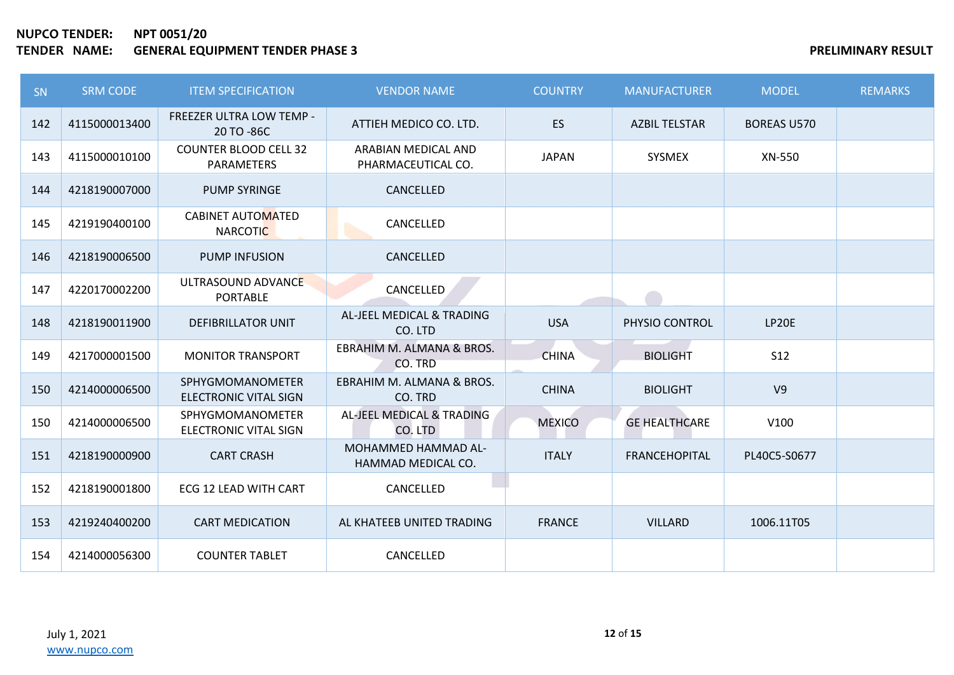| SN  | <b>SRM CODE</b> | <b>ITEM SPECIFICATION</b>                     | <b>VENDOR NAME</b>                               | <b>COUNTRY</b> | <b>MANUFACTURER</b>  | <b>MODEL</b>       | <b>REMARKS</b> |
|-----|-----------------|-----------------------------------------------|--------------------------------------------------|----------------|----------------------|--------------------|----------------|
| 142 | 4115000013400   | <b>FREEZER ULTRA LOW TEMP -</b><br>20 TO -86C | ATTIEH MEDICO CO. LTD.                           | <b>ES</b>      | <b>AZBIL TELSTAR</b> | <b>BOREAS U570</b> |                |
| 143 | 4115000010100   | <b>COUNTER BLOOD CELL 32</b><br>PARAMETERS    | ARABIAN MEDICAL AND<br>PHARMACEUTICAL CO.        | <b>JAPAN</b>   | SYSMEX               | XN-550             |                |
| 144 | 4218190007000   | <b>PUMP SYRINGE</b>                           | CANCELLED                                        |                |                      |                    |                |
| 145 | 4219190400100   | <b>CABINET AUTOMATED</b><br><b>NARCOTIC</b>   | CANCELLED                                        |                |                      |                    |                |
| 146 | 4218190006500   | <b>PUMP INFUSION</b>                          | CANCELLED                                        |                |                      |                    |                |
| 147 | 4220170002200   | ULTRASOUND ADVANCE<br><b>PORTABLE</b>         | CANCELLED                                        |                |                      |                    |                |
| 148 | 4218190011900   | <b>DEFIBRILLATOR UNIT</b>                     | AL-JEEL MEDICAL & TRADING<br>CO. LTD             | <b>USA</b>     | PHYSIO CONTROL       | LP20E              |                |
| 149 | 4217000001500   | <b>MONITOR TRANSPORT</b>                      | EBRAHIM M. ALMANA & BROS.<br>CO. TRD             | <b>CHINA</b>   | <b>BIOLIGHT</b>      | <b>S12</b>         |                |
| 150 | 4214000006500   | SPHYGMOMANOMETER<br>ELECTRONIC VITAL SIGN     | EBRAHIM M. ALMANA & BROS.<br>CO. TRD             | <b>CHINA</b>   | <b>BIOLIGHT</b>      | V <sub>9</sub>     |                |
| 150 | 4214000006500   | SPHYGMOMANOMETER<br>ELECTRONIC VITAL SIGN     | AL-JEEL MEDICAL & TRADING<br>CO. LTD             | <b>MEXICO</b>  | <b>GE HEALTHCARE</b> | V100               |                |
| 151 | 4218190000900   | <b>CART CRASH</b>                             | <b>MOHAMMED HAMMAD AL-</b><br>HAMMAD MEDICAL CO. | <b>ITALY</b>   | <b>FRANCEHOPITAL</b> | PL40C5-S0677       |                |
| 152 | 4218190001800   | ECG 12 LEAD WITH CART                         | CANCELLED                                        |                |                      |                    |                |
| 153 | 4219240400200   | <b>CART MEDICATION</b>                        | AL KHATEEB UNITED TRADING                        | <b>FRANCE</b>  | <b>VILLARD</b>       | 1006.11T05         |                |
| 154 | 4214000056300   | <b>COUNTER TABLET</b>                         | CANCELLED                                        |                |                      |                    |                |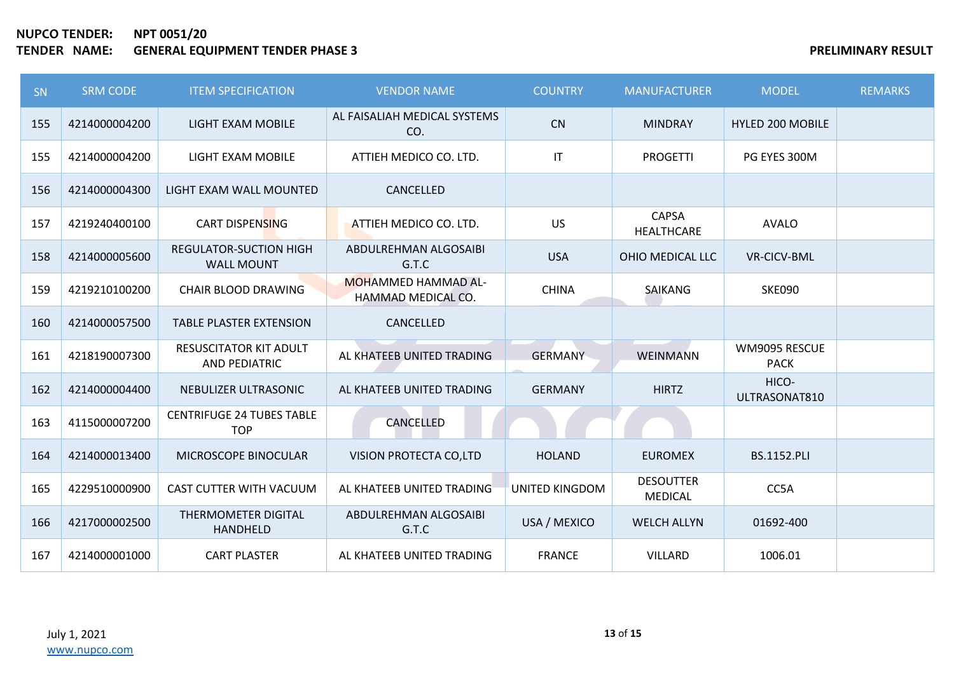| SN  | <b>SRM CODE</b> | <b>ITEM SPECIFICATION</b>                             | <b>VENDOR NAME</b>                               | <b>COUNTRY</b>         | <b>MANUFACTURER</b>                | <b>MODEL</b>                 | <b>REMARKS</b> |
|-----|-----------------|-------------------------------------------------------|--------------------------------------------------|------------------------|------------------------------------|------------------------------|----------------|
| 155 | 4214000004200   | LIGHT EXAM MOBILE                                     | AL FAISALIAH MEDICAL SYSTEMS<br>CO.              | CN                     | <b>MINDRAY</b>                     | <b>HYLED 200 MOBILE</b>      |                |
| 155 | 4214000004200   | LIGHT EXAM MOBILE                                     | ATTIEH MEDICO CO. LTD.                           | $\mathsf{I}\mathsf{T}$ | <b>PROGETTI</b>                    | PG EYES 300M                 |                |
| 156 | 4214000004300   | LIGHT EXAM WALL MOUNTED                               | CANCELLED                                        |                        |                                    |                              |                |
| 157 | 4219240400100   | <b>CART DISPENSING</b>                                | ATTIEH MEDICO CO. LTD.                           | <b>US</b>              | <b>CAPSA</b><br>HEALTHCARE         | <b>AVALO</b>                 |                |
| 158 | 4214000005600   | <b>REGULATOR-SUCTION HIGH</b><br><b>WALL MOUNT</b>    | ABDULREHMAN ALGOSAIBI<br>G.T.C                   | <b>USA</b>             | OHIO MEDICAL LLC                   | <b>VR-CICV-BML</b>           |                |
| 159 | 4219210100200   | <b>CHAIR BLOOD DRAWING</b>                            | <b>MOHAMMED HAMMAD AL-</b><br>HAMMAD MEDICAL CO. | <b>CHINA</b>           | <b>SAIKANG</b>                     | <b>SKE090</b>                |                |
| 160 | 4214000057500   | <b>TABLE PLASTER EXTENSION</b>                        | CANCELLED                                        |                        |                                    |                              |                |
| 161 | 4218190007300   | <b>RESUSCITATOR KIT ADULT</b><br><b>AND PEDIATRIC</b> | AL KHATEEB UNITED TRADING                        | <b>GERMANY</b>         | <b>WEINMANN</b>                    | WM9095 RESCUE<br><b>PACK</b> |                |
| 162 | 4214000004400   | NEBULIZER ULTRASONIC                                  | AL KHATEEB UNITED TRADING                        | <b>GERMANY</b>         | <b>HIRTZ</b>                       | HICO-<br>ULTRASONAT810       |                |
| 163 | 4115000007200   | <b>CENTRIFUGE 24 TUBES TABLE</b><br><b>TOP</b>        | CANCELLED                                        |                        |                                    |                              |                |
| 164 | 4214000013400   | MICROSCOPE BINOCULAR                                  | VISION PROTECTA CO,LTD                           | <b>HOLAND</b>          | <b>EUROMEX</b>                     | <b>BS.1152.PLI</b>           |                |
| 165 | 4229510000900   | <b>CAST CUTTER WITH VACUUM</b>                        | AL KHATEEB UNITED TRADING                        | UNITED KINGDOM         | <b>DESOUTTER</b><br><b>MEDICAL</b> | CC5A                         |                |
| 166 | 4217000002500   | THERMOMETER DIGITAL<br>HANDHELD                       | ABDULREHMAN ALGOSAIBI<br>G.T.C                   | USA / MEXICO           | <b>WELCH ALLYN</b>                 | 01692-400                    |                |
| 167 | 4214000001000   | <b>CART PLASTER</b>                                   | AL KHATEEB UNITED TRADING                        | <b>FRANCE</b>          | VILLARD                            | 1006.01                      |                |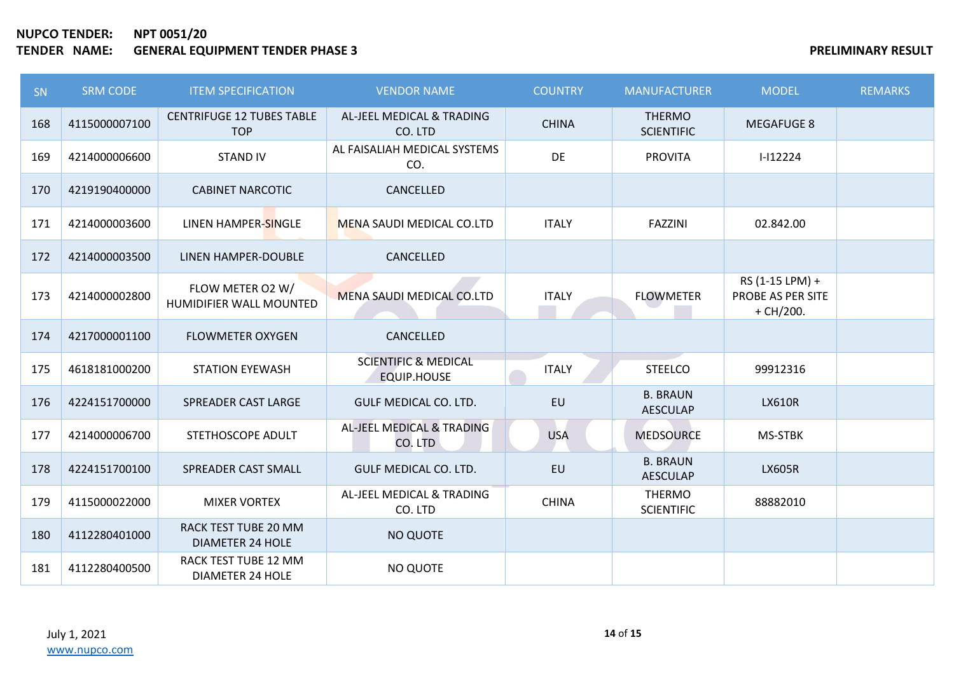| <b>SN</b> | <b>SRM CODE</b> | <b>ITEM SPECIFICATION</b>                       | <b>VENDOR NAME</b>                                    | <b>COUNTRY</b> | <b>MANUFACTURER</b>                | <b>MODEL</b>                                        | <b>REMARKS</b> |
|-----------|-----------------|-------------------------------------------------|-------------------------------------------------------|----------------|------------------------------------|-----------------------------------------------------|----------------|
| 168       | 4115000007100   | <b>CENTRIFUGE 12 TUBES TABLE</b><br><b>TOP</b>  | AL-JEEL MEDICAL & TRADING<br>CO. LTD                  | <b>CHINA</b>   | <b>THERMO</b><br><b>SCIENTIFIC</b> | <b>MEGAFUGE 8</b>                                   |                |
| 169       | 4214000006600   | <b>STAND IV</b>                                 | AL FAISALIAH MEDICAL SYSTEMS<br>CO.                   | DE             | <b>PROVITA</b>                     | $I-I12224$                                          |                |
| 170       | 4219190400000   | <b>CABINET NARCOTIC</b>                         | CANCELLED                                             |                |                                    |                                                     |                |
| 171       | 4214000003600   | LINEN HAMPER-SINGLE                             | <b>MENA SAUDI MEDICAL CO.LTD</b>                      | <b>ITALY</b>   | <b>FAZZINI</b>                     | 02.842.00                                           |                |
| 172       | 4214000003500   | LINEN HAMPER-DOUBLE                             | CANCELLED                                             |                |                                    |                                                     |                |
| 173       | 4214000002800   | FLOW METER O2 W/<br>HUMIDIFIER WALL MOUNTED     | <b>MENA SAUDI MEDICAL CO.LTD</b>                      | <b>ITALY</b>   | <b>FLOWMETER</b>                   | RS (1-15 LPM) +<br>PROBE AS PER SITE<br>$+$ CH/200. |                |
| 174       | 4217000001100   | <b>FLOWMETER OXYGEN</b>                         | CANCELLED                                             |                |                                    |                                                     |                |
| 175       | 4618181000200   | <b>STATION EYEWASH</b>                          | <b>SCIENTIFIC &amp; MEDICAL</b><br><b>EQUIP.HOUSE</b> | <b>ITALY</b>   | <b>STEELCO</b>                     | 99912316                                            |                |
| 176       | 4224151700000   | SPREADER CAST LARGE                             | GULF MEDICAL CO. LTD.                                 | EU             | <b>B. BRAUN</b><br><b>AESCULAP</b> | <b>LX610R</b>                                       |                |
| 177       | 4214000006700   | STETHOSCOPE ADULT                               | AL-JEEL MEDICAL & TRADING<br>CO. LTD                  | <b>USA</b>     | <b>MEDSOURCE</b>                   | MS-STBK                                             |                |
| 178       | 4224151700100   | SPREADER CAST SMALL                             | <b>GULF MEDICAL CO. LTD.</b>                          | EU             | <b>B. BRAUN</b><br><b>AESCULAP</b> | <b>LX605R</b>                                       |                |
| 179       | 4115000022000   | <b>MIXER VORTEX</b>                             | AL-JEEL MEDICAL & TRADING<br>CO. LTD                  | <b>CHINA</b>   | <b>THERMO</b><br><b>SCIENTIFIC</b> | 88882010                                            |                |
| 180       | 4112280401000   | RACK TEST TUBE 20 MM<br><b>DIAMETER 24 HOLE</b> | <b>NO QUOTE</b>                                       |                |                                    |                                                     |                |
| 181       | 4112280400500   | RACK TEST TUBE 12 MM<br><b>DIAMETER 24 HOLE</b> | <b>NO QUOTE</b>                                       |                |                                    |                                                     |                |